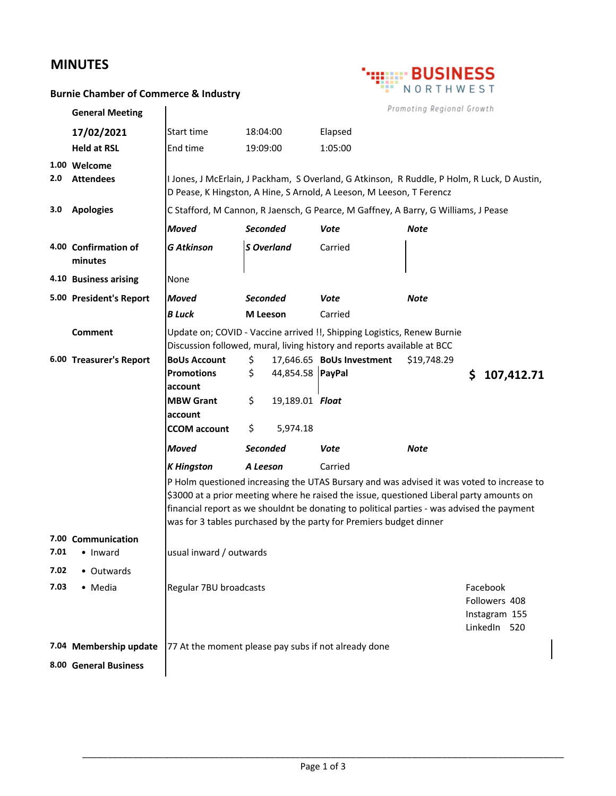## **MINUTES**



## **Burnie Chamber of Commerce & Industry**

|      | <b>General Meeting</b>          | Promoting Regional Growth                                                                                                                                                                                                                                                                                                                                 |                   |                  |                                                                         |             |    |            |
|------|---------------------------------|-----------------------------------------------------------------------------------------------------------------------------------------------------------------------------------------------------------------------------------------------------------------------------------------------------------------------------------------------------------|-------------------|------------------|-------------------------------------------------------------------------|-------------|----|------------|
|      | 17/02/2021                      | Start time                                                                                                                                                                                                                                                                                                                                                | 18:04:00          |                  | Elapsed                                                                 |             |    |            |
|      | <b>Held at RSL</b>              | End time                                                                                                                                                                                                                                                                                                                                                  | 19:09:00          |                  | 1:05:00                                                                 |             |    |            |
|      | 1.00 Welcome                    |                                                                                                                                                                                                                                                                                                                                                           |                   |                  |                                                                         |             |    |            |
| 2.0  | <b>Attendees</b>                | I Jones, J McErlain, J Packham, S Overland, G Atkinson, R Ruddle, P Holm, R Luck, D Austin,<br>D Pease, K Hingston, A Hine, S Arnold, A Leeson, M Leeson, T Ferencz                                                                                                                                                                                       |                   |                  |                                                                         |             |    |            |
| 3.0  | <b>Apologies</b>                | C Stafford, M Cannon, R Jaensch, G Pearce, M Gaffney, A Barry, G Williams, J Pease                                                                                                                                                                                                                                                                        |                   |                  |                                                                         |             |    |            |
|      |                                 | <b>Moved</b>                                                                                                                                                                                                                                                                                                                                              | <b>Seconded</b>   |                  | Vote                                                                    | Note        |    |            |
|      | 4.00 Confirmation of<br>minutes | <b>G Atkinson</b>                                                                                                                                                                                                                                                                                                                                         | <b>S</b> Overland |                  | Carried                                                                 |             |    |            |
|      | 4.10 Business arising           | None                                                                                                                                                                                                                                                                                                                                                      |                   |                  |                                                                         |             |    |            |
|      | 5.00 President's Report         | <b>Moved</b>                                                                                                                                                                                                                                                                                                                                              | <b>Seconded</b>   |                  | Vote                                                                    | <b>Note</b> |    |            |
|      |                                 | <b>B</b> Luck                                                                                                                                                                                                                                                                                                                                             | <b>M</b> Leeson   |                  | Carried                                                                 |             |    |            |
|      | <b>Comment</b>                  | Update on; COVID - Vaccine arrived !!, Shipping Logistics, Renew Burnie                                                                                                                                                                                                                                                                                   |                   |                  |                                                                         |             |    |            |
|      |                                 |                                                                                                                                                                                                                                                                                                                                                           |                   |                  | Discussion followed, mural, living history and reports available at BCC |             |    |            |
|      | 6.00 Treasurer's Report         | <b>BoUs Account</b><br><b>Promotions</b>                                                                                                                                                                                                                                                                                                                  | \$<br>\$          | 44,854.58 PayPal | 17,646.65 BoUs Investment                                               | \$19,748.29 |    |            |
|      |                                 | account                                                                                                                                                                                                                                                                                                                                                   |                   |                  |                                                                         |             | \$ | 107,412.71 |
|      |                                 | <b>MBW Grant</b>                                                                                                                                                                                                                                                                                                                                          | \$                | 19,189.01 Float  |                                                                         |             |    |            |
|      |                                 | account                                                                                                                                                                                                                                                                                                                                                   |                   |                  |                                                                         |             |    |            |
|      |                                 | <b>CCOM</b> account                                                                                                                                                                                                                                                                                                                                       | \$                | 5,974.18         |                                                                         |             |    |            |
|      |                                 | <b>Moved</b>                                                                                                                                                                                                                                                                                                                                              | <b>Seconded</b>   |                  | Vote                                                                    | Note        |    |            |
|      |                                 | <b>K</b> Hingston                                                                                                                                                                                                                                                                                                                                         | A Leeson          |                  | Carried                                                                 |             |    |            |
|      |                                 | P Holm questioned increasing the UTAS Bursary and was advised it was voted to increase to<br>\$3000 at a prior meeting where he raised the issue, questioned Liberal party amounts on<br>financial report as we shouldnt be donating to political parties - was advised the payment<br>was for 3 tables purchased by the party for Premiers budget dinner |                   |                  |                                                                         |             |    |            |
| 7.01 | 7.00 Communication<br>• Inward  | usual inward / outwards                                                                                                                                                                                                                                                                                                                                   |                   |                  |                                                                         |             |    |            |
| 7.02 | • Outwards                      |                                                                                                                                                                                                                                                                                                                                                           |                   |                  |                                                                         |             |    |            |
| 7.03 | • Media                         | Regular 7BU broadcasts<br>Facebook<br>Followers 408<br>Instagram 155<br>LinkedIn 520                                                                                                                                                                                                                                                                      |                   |                  |                                                                         |             |    |            |
|      | 7.04 Membership update          | 77 At the moment please pay subs if not already done                                                                                                                                                                                                                                                                                                      |                   |                  |                                                                         |             |    |            |
|      | 8.00 General Business           |                                                                                                                                                                                                                                                                                                                                                           |                   |                  |                                                                         |             |    |            |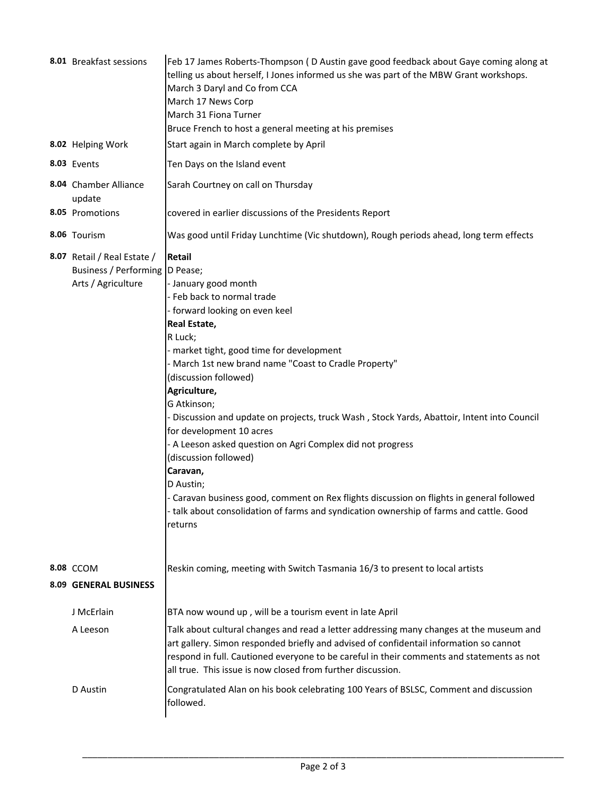| 8.01 Breakfast sessions                                                               | Feb 17 James Roberts-Thompson (D Austin gave good feedback about Gaye coming along at<br>telling us about herself, I Jones informed us she was part of the MBW Grant workshops.<br>March 3 Daryl and Co from CCA<br>March 17 News Corp<br>March 31 Fiona Turner<br>Bruce French to host a general meeting at his premises                                                                                                                                                                                                                                                                                                                                                                                                             |  |  |
|---------------------------------------------------------------------------------------|---------------------------------------------------------------------------------------------------------------------------------------------------------------------------------------------------------------------------------------------------------------------------------------------------------------------------------------------------------------------------------------------------------------------------------------------------------------------------------------------------------------------------------------------------------------------------------------------------------------------------------------------------------------------------------------------------------------------------------------|--|--|
| 8.02 Helping Work                                                                     | Start again in March complete by April                                                                                                                                                                                                                                                                                                                                                                                                                                                                                                                                                                                                                                                                                                |  |  |
| 8.03 Events                                                                           | Ten Days on the Island event                                                                                                                                                                                                                                                                                                                                                                                                                                                                                                                                                                                                                                                                                                          |  |  |
| 8.04 Chamber Alliance<br>update                                                       | Sarah Courtney on call on Thursday                                                                                                                                                                                                                                                                                                                                                                                                                                                                                                                                                                                                                                                                                                    |  |  |
| 8.05 Promotions                                                                       | covered in earlier discussions of the Presidents Report                                                                                                                                                                                                                                                                                                                                                                                                                                                                                                                                                                                                                                                                               |  |  |
| 8.06 Tourism                                                                          | Was good until Friday Lunchtime (Vic shutdown), Rough periods ahead, long term effects                                                                                                                                                                                                                                                                                                                                                                                                                                                                                                                                                                                                                                                |  |  |
| 8.07 Retail / Real Estate /<br>Business / Performing   D Pease;<br>Arts / Agriculture | Retail<br>- January good month<br>- Feb back to normal trade<br>- forward looking on even keel<br>Real Estate,<br>R Luck;<br>- market tight, good time for development<br>- March 1st new brand name "Coast to Cradle Property"<br>(discussion followed)<br>Agriculture,<br>G Atkinson;<br>- Discussion and update on projects, truck Wash, Stock Yards, Abattoir, Intent into Council<br>for development 10 acres<br>- A Leeson asked question on Agri Complex did not progress<br>(discussion followed)<br>Caravan,<br>D Austin;<br>- Caravan business good, comment on Rex flights discussion on flights in general followed<br>- talk about consolidation of farms and syndication ownership of farms and cattle. Good<br>returns |  |  |
| 8.08 CCOM                                                                             | Reskin coming, meeting with Switch Tasmania 16/3 to present to local artists                                                                                                                                                                                                                                                                                                                                                                                                                                                                                                                                                                                                                                                          |  |  |
| <b>8.09 GENERAL BUSINESS</b>                                                          |                                                                                                                                                                                                                                                                                                                                                                                                                                                                                                                                                                                                                                                                                                                                       |  |  |
| J McErlain                                                                            | BTA now wound up, will be a tourism event in late April                                                                                                                                                                                                                                                                                                                                                                                                                                                                                                                                                                                                                                                                               |  |  |
| A Leeson                                                                              | Talk about cultural changes and read a letter addressing many changes at the museum and<br>art gallery. Simon responded briefly and advised of confidentail information so cannot<br>respond in full. Cautioned everyone to be careful in their comments and statements as not<br>all true. This issue is now closed from further discussion.                                                                                                                                                                                                                                                                                                                                                                                         |  |  |
| D Austin                                                                              | Congratulated Alan on his book celebrating 100 Years of BSLSC, Comment and discussion<br>followed.                                                                                                                                                                                                                                                                                                                                                                                                                                                                                                                                                                                                                                    |  |  |